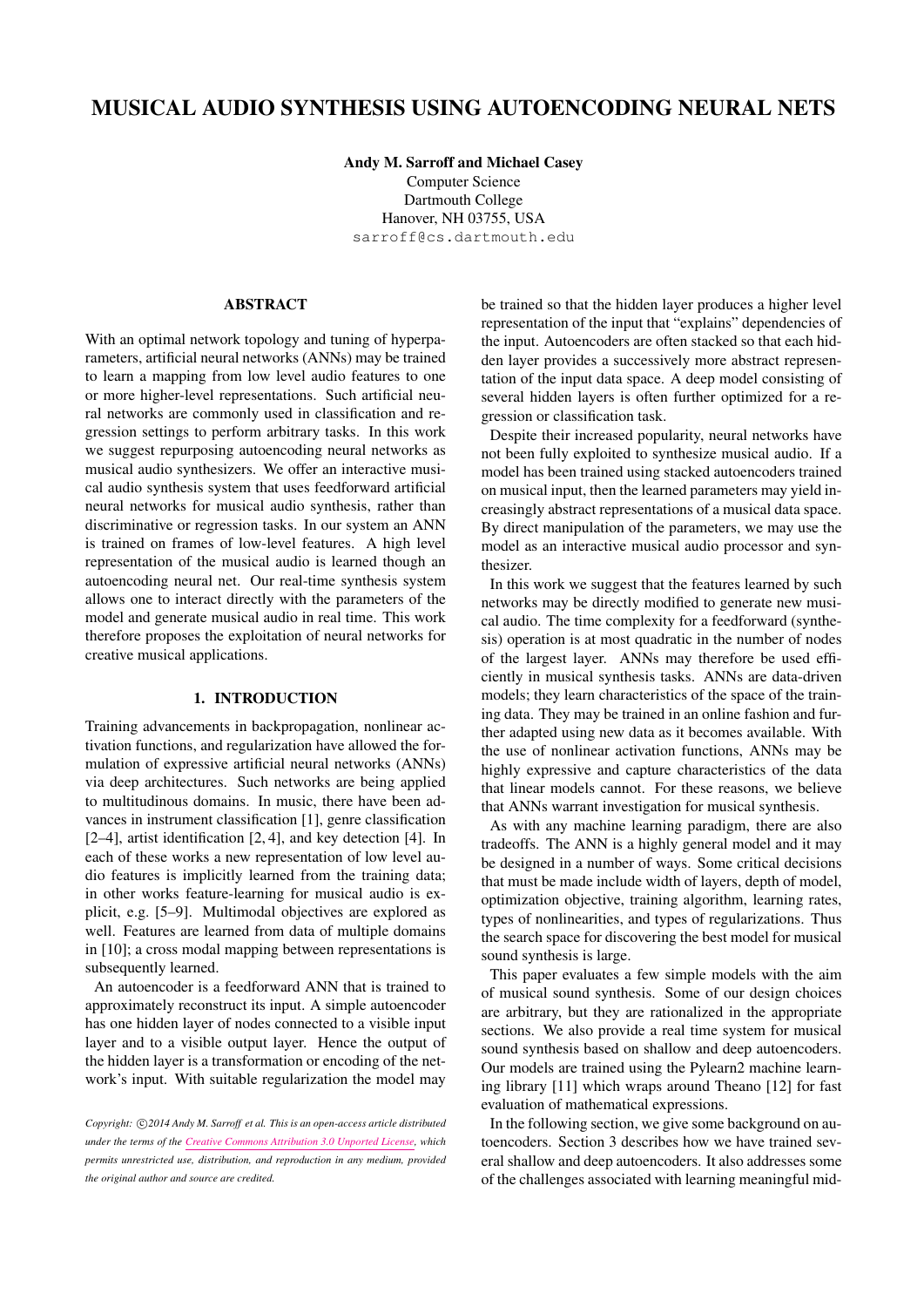# MUSICAL AUDIO SYNTHESIS USING AUTOENCODING NEURAL NETS

Andy M. Sarroff and Michael Casey Computer Science Dartmouth College Hanover, NH 03755, USA [sarroff@cs.dartmouth.edu](mailto:sarroff@cs.dartmouth.edu)

## ABSTRACT

With an optimal network topology and tuning of hyperparameters, artificial neural networks (ANNs) may be trained to learn a mapping from low level audio features to one or more higher-level representations. Such artificial neural networks are commonly used in classification and regression settings to perform arbitrary tasks. In this work we suggest repurposing autoencoding neural networks as musical audio synthesizers. We offer an interactive musical audio synthesis system that uses feedforward artificial neural networks for musical audio synthesis, rather than discriminative or regression tasks. In our system an ANN is trained on frames of low-level features. A high level representation of the musical audio is learned though an autoencoding neural net. Our real-time synthesis system allows one to interact directly with the parameters of the model and generate musical audio in real time. This work therefore proposes the exploitation of neural networks for creative musical applications.

## 1. INTRODUCTION

Training advancements in backpropagation, nonlinear activation functions, and regularization have allowed the formulation of expressive artificial neural networks (ANNs) via deep architectures. Such networks are being applied to multitudinous domains. In music, there have been advances in instrument classification [\[1\]](#page-5-0), genre classification [\[2](#page-5-1)[–4\]](#page-5-2), artist identification [\[2,](#page-5-1) [4\]](#page-5-2), and key detection [\[4\]](#page-5-2). In each of these works a new representation of low level audio features is implicitly learned from the training data; in other works feature-learning for musical audio is explicit, e.g. [\[5](#page-5-3)[–9\]](#page-5-4). Multimodal objectives are explored as well. Features are learned from data of multiple domains in [\[10\]](#page-5-5); a cross modal mapping between representations is subsequently learned.

An autoencoder is a feedforward ANN that is trained to approximately reconstruct its input. A simple autoencoder has one hidden layer of nodes connected to a visible input layer and to a visible output layer. Hence the output of the hidden layer is a transformation or encoding of the network's input. With suitable regularization the model may be trained so that the hidden layer produces a higher level representation of the input that "explains" dependencies of the input. Autoencoders are often stacked so that each hidden layer provides a successively more abstract representation of the input data space. A deep model consisting of several hidden layers is often further optimized for a regression or classification task.

Despite their increased popularity, neural networks have not been fully exploited to synthesize musical audio. If a model has been trained using stacked autoencoders trained on musical input, then the learned parameters may yield increasingly abstract representations of a musical data space. By direct manipulation of the parameters, we may use the model as an interactive musical audio processor and synthesizer.

In this work we suggest that the features learned by such networks may be directly modified to generate new musical audio. The time complexity for a feedforward (synthesis) operation is at most quadratic in the number of nodes of the largest layer. ANNs may therefore be used efficiently in musical synthesis tasks. ANNs are data-driven models; they learn characteristics of the space of the training data. They may be trained in an online fashion and further adapted using new data as it becomes available. With the use of nonlinear activation functions, ANNs may be highly expressive and capture characteristics of the data that linear models cannot. For these reasons, we believe that ANNs warrant investigation for musical synthesis.

As with any machine learning paradigm, there are also tradeoffs. The ANN is a highly general model and it may be designed in a number of ways. Some critical decisions that must be made include width of layers, depth of model, optimization objective, training algorithm, learning rates, types of nonlinearities, and types of regularizations. Thus the search space for discovering the best model for musical sound synthesis is large.

This paper evaluates a few simple models with the aim of musical sound synthesis. Some of our design choices are arbitrary, but they are rationalized in the appropriate sections. We also provide a real time system for musical sound synthesis based on shallow and deep autoencoders. Our models are trained using the Pylearn2 machine learning library [\[11\]](#page-5-6) which wraps around Theano [\[12\]](#page-5-7) for fast evaluation of mathematical expressions.

In the following section, we give some background on autoencoders. Section [3](#page-1-0) describes how we have trained several shallow and deep autoencoders. It also addresses some of the challenges associated with learning meaningful mid-

Copyright:  $\bigcirc$  2014 Andy M. Sarroff et al. This is an open-access article distributed *under the terms of the [Creative Commons Attribution 3.0 Unported License,](http://creativecommons.org/licenses/by/3.0/) which permits unrestricted use, distribution, and reproduction in any medium, provided the original author and source are credited.*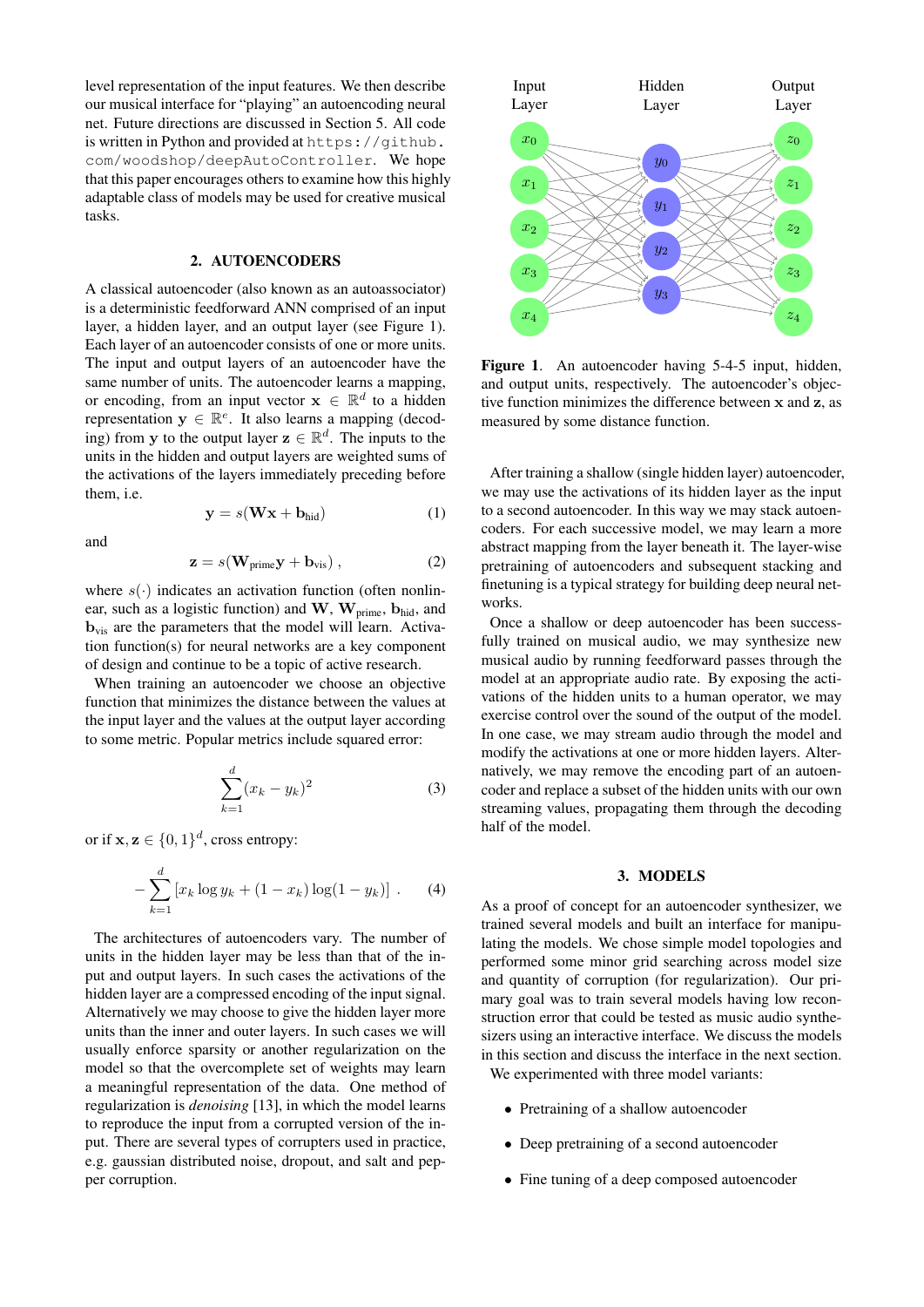level representation of the input features. We then describe our musical interface for "playing" an autoencoding neural net. Future directions are discussed in Section [5.](#page-5-8) All code is written in Python and provided at [https://github.](https://github.com/woodshop/deepAutoController) [com/woodshop/deepAutoController](https://github.com/woodshop/deepAutoController). We hope that this paper encourages others to examine how this highly adaptable class of models may be used for creative musical tasks.

#### 2. AUTOENCODERS

A classical autoencoder (also known as an autoassociator) is a deterministic feedforward ANN comprised of an input layer, a hidden layer, and an output layer (see Figure [1\)](#page-1-1). Each layer of an autoencoder consists of one or more units. The input and output layers of an autoencoder have the same number of units. The autoencoder learns a mapping, or encoding, from an input vector  $\mathbf{x} \in \mathbb{R}^d$  to a hidden representation  $y \in \mathbb{R}^e$ . It also learns a mapping (decoding) from y to the output layer  $z \in \mathbb{R}^d$ . The inputs to the units in the hidden and output layers are weighted sums of the activations of the layers immediately preceding before them, i.e.

<span id="page-1-2"></span>
$$
y = s(Wx + b_{hid})
$$
 (1)

and

<span id="page-1-3"></span>
$$
\mathbf{z} = s(\mathbf{W}_{\text{prime}} \mathbf{y} + \mathbf{b}_{\text{vis}}) , \qquad (2)
$$

where  $s(\cdot)$  indicates an activation function (often nonlinear, such as a logistic function) and  $W$ ,  $W_{\text{prime}}$ ,  $b_{\text{hid}}$ , and  **are the parameters that the model will learn. Activa**tion function(s) for neural networks are a key component of design and continue to be a topic of active research.

When training an autoencoder we choose an objective function that minimizes the distance between the values at the input layer and the values at the output layer according to some metric. Popular metrics include squared error:

$$
\sum_{k=1}^{d} (x_k - y_k)^2
$$
 (3)

or if  $\mathbf{x}, \mathbf{z} \in \{0, 1\}^d$ , cross entropy:

$$
-\sum_{k=1}^{d} \left[ x_k \log y_k + (1 - x_k) \log(1 - y_k) \right].
$$
 (4)

The architectures of autoencoders vary. The number of units in the hidden layer may be less than that of the input and output layers. In such cases the activations of the hidden layer are a compressed encoding of the input signal. Alternatively we may choose to give the hidden layer more units than the inner and outer layers. In such cases we will usually enforce sparsity or another regularization on the model so that the overcomplete set of weights may learn a meaningful representation of the data. One method of regularization is *denoising* [\[13\]](#page-5-9), in which the model learns to reproduce the input from a corrupted version of the input. There are several types of corrupters used in practice, e.g. gaussian distributed noise, dropout, and salt and pepper corruption.

<span id="page-1-1"></span>

Figure 1. An autoencoder having 5-4-5 input, hidden, and output units, respectively. The autoencoder's objective function minimizes the difference between x and z, as measured by some distance function.

After training a shallow (single hidden layer) autoencoder, we may use the activations of its hidden layer as the input to a second autoencoder. In this way we may stack autoencoders. For each successive model, we may learn a more abstract mapping from the layer beneath it. The layer-wise pretraining of autoencoders and subsequent stacking and finetuning is a typical strategy for building deep neural networks.

Once a shallow or deep autoencoder has been successfully trained on musical audio, we may synthesize new musical audio by running feedforward passes through the model at an appropriate audio rate. By exposing the activations of the hidden units to a human operator, we may exercise control over the sound of the output of the model. In one case, we may stream audio through the model and modify the activations at one or more hidden layers. Alternatively, we may remove the encoding part of an autoencoder and replace a subset of the hidden units with our own streaming values, propagating them through the decoding half of the model.

## 3. MODELS

<span id="page-1-0"></span>As a proof of concept for an autoencoder synthesizer, we trained several models and built an interface for manipulating the models. We chose simple model topologies and performed some minor grid searching across model size and quantity of corruption (for regularization). Our primary goal was to train several models having low reconstruction error that could be tested as music audio synthesizers using an interactive interface. We discuss the models in this section and discuss the interface in the next section. We experimented with three model variants:

- Pretraining of a shallow autoencoder
- Deep pretraining of a second autoencoder
- Fine tuning of a deep composed autoencoder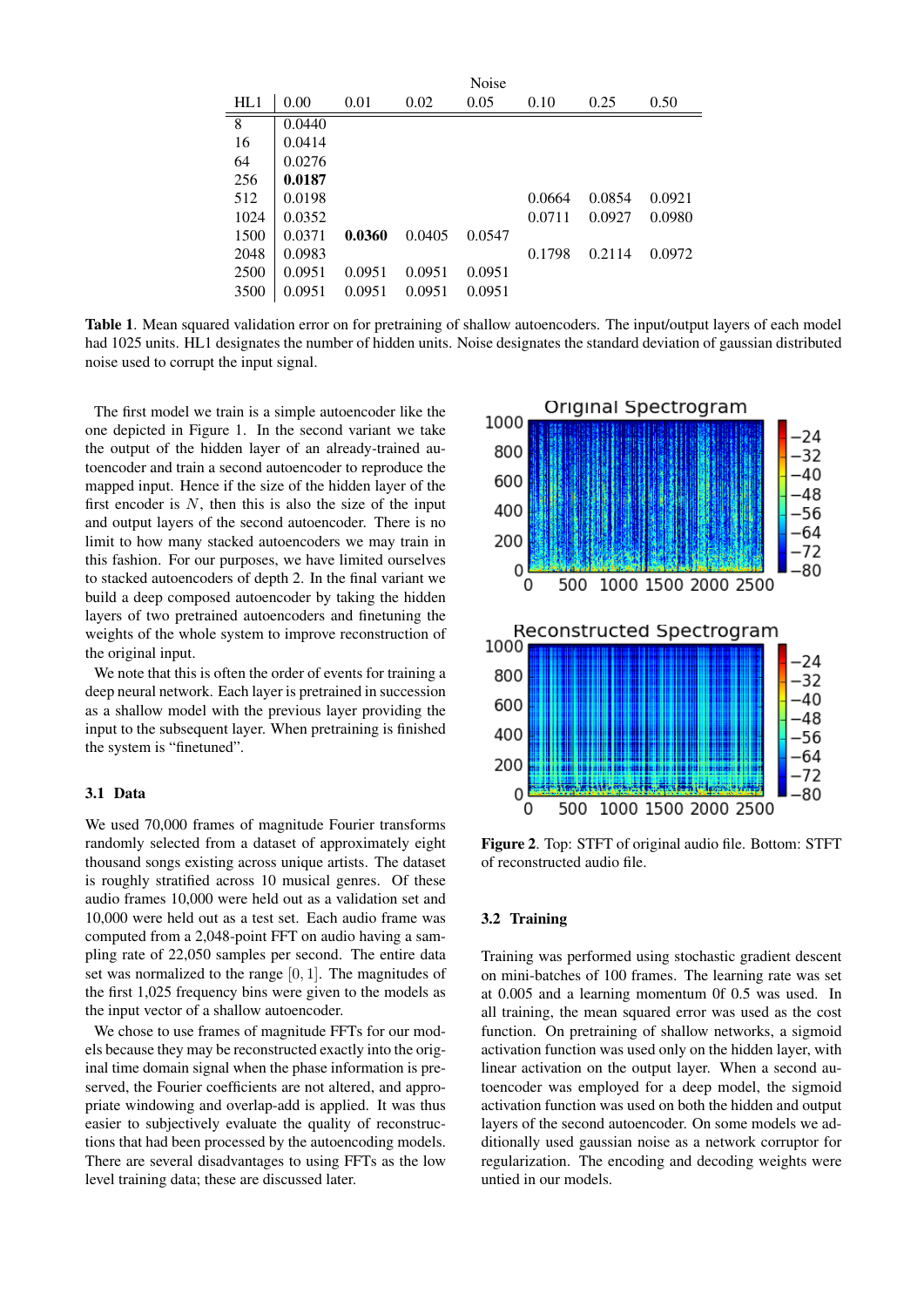|      |        |        |        | Noise  |        |        |        |
|------|--------|--------|--------|--------|--------|--------|--------|
| HL1  | 0.00   | 0.01   | 0.02   | 0.05   | 0.10   | 0.25   | 0.50   |
| 8    | 0.0440 |        |        |        |        |        |        |
| 16   | 0.0414 |        |        |        |        |        |        |
| 64   | 0.0276 |        |        |        |        |        |        |
| 256  | 0.0187 |        |        |        |        |        |        |
| 512  | 0.0198 |        |        |        | 0.0664 | 0.0854 | 0.0921 |
| 1024 | 0.0352 |        |        |        | 0.0711 | 0.0927 | 0.0980 |
| 1500 | 0.0371 | 0.0360 | 0.0405 | 0.0547 |        |        |        |
| 2048 | 0.0983 |        |        |        | 0.1798 | 0.2114 | 0.0972 |
| 2500 | 0.0951 | 0.0951 | 0.0951 | 0.0951 |        |        |        |
| 3500 | 0.0951 | 0.0951 | 0.0951 | 0.0951 |        |        |        |

<span id="page-2-0"></span>Table 1. Mean squared validation error on for pretraining of shallow autoencoders. The input/output layers of each model had 1025 units. HL1 designates the number of hidden units. Noise designates the standard deviation of gaussian distributed noise used to corrupt the input signal.

The first model we train is a simple autoencoder like the one depicted in Figure [1.](#page-1-1) In the second variant we take the output of the hidden layer of an already-trained autoencoder and train a second autoencoder to reproduce the mapped input. Hence if the size of the hidden layer of the first encoder is  $N$ , then this is also the size of the input and output layers of the second autoencoder. There is no limit to how many stacked autoencoders we may train in this fashion. For our purposes, we have limited ourselves to stacked autoencoders of depth 2. In the final variant we build a deep composed autoencoder by taking the hidden layers of two pretrained autoencoders and finetuning the weights of the whole system to improve reconstruction of the original input.

We note that this is often the order of events for training a deep neural network. Each layer is pretrained in succession as a shallow model with the previous layer providing the input to the subsequent layer. When pretraining is finished the system is "finetuned".

# 3.1 Data

We used 70,000 frames of magnitude Fourier transforms randomly selected from a dataset of approximately eight thousand songs existing across unique artists. The dataset is roughly stratified across 10 musical genres. Of these audio frames 10,000 were held out as a validation set and 10,000 were held out as a test set. Each audio frame was computed from a 2,048-point FFT on audio having a sampling rate of 22,050 samples per second. The entire data set was normalized to the range [0, 1]. The magnitudes of the first 1,025 frequency bins were given to the models as the input vector of a shallow autoencoder.

We chose to use frames of magnitude FFTs for our models because they may be reconstructed exactly into the original time domain signal when the phase information is preserved, the Fourier coefficients are not altered, and appropriate windowing and overlap-add is applied. It was thus easier to subjectively evaluate the quality of reconstructions that had been processed by the autoencoding models. There are several disadvantages to using FFTs as the low level training data; these are discussed later.

<span id="page-2-1"></span>

Figure 2. Top: STFT of original audio file. Bottom: STFT of reconstructed audio file.

### 3.2 Training

Training was performed using stochastic gradient descent on mini-batches of 100 frames. The learning rate was set at 0.005 and a learning momentum 0f 0.5 was used. In all training, the mean squared error was used as the cost function. On pretraining of shallow networks, a sigmoid activation function was used only on the hidden layer, with linear activation on the output layer. When a second autoencoder was employed for a deep model, the sigmoid activation function was used on both the hidden and output layers of the second autoencoder. On some models we additionally used gaussian noise as a network corruptor for regularization. The encoding and decoding weights were untied in our models.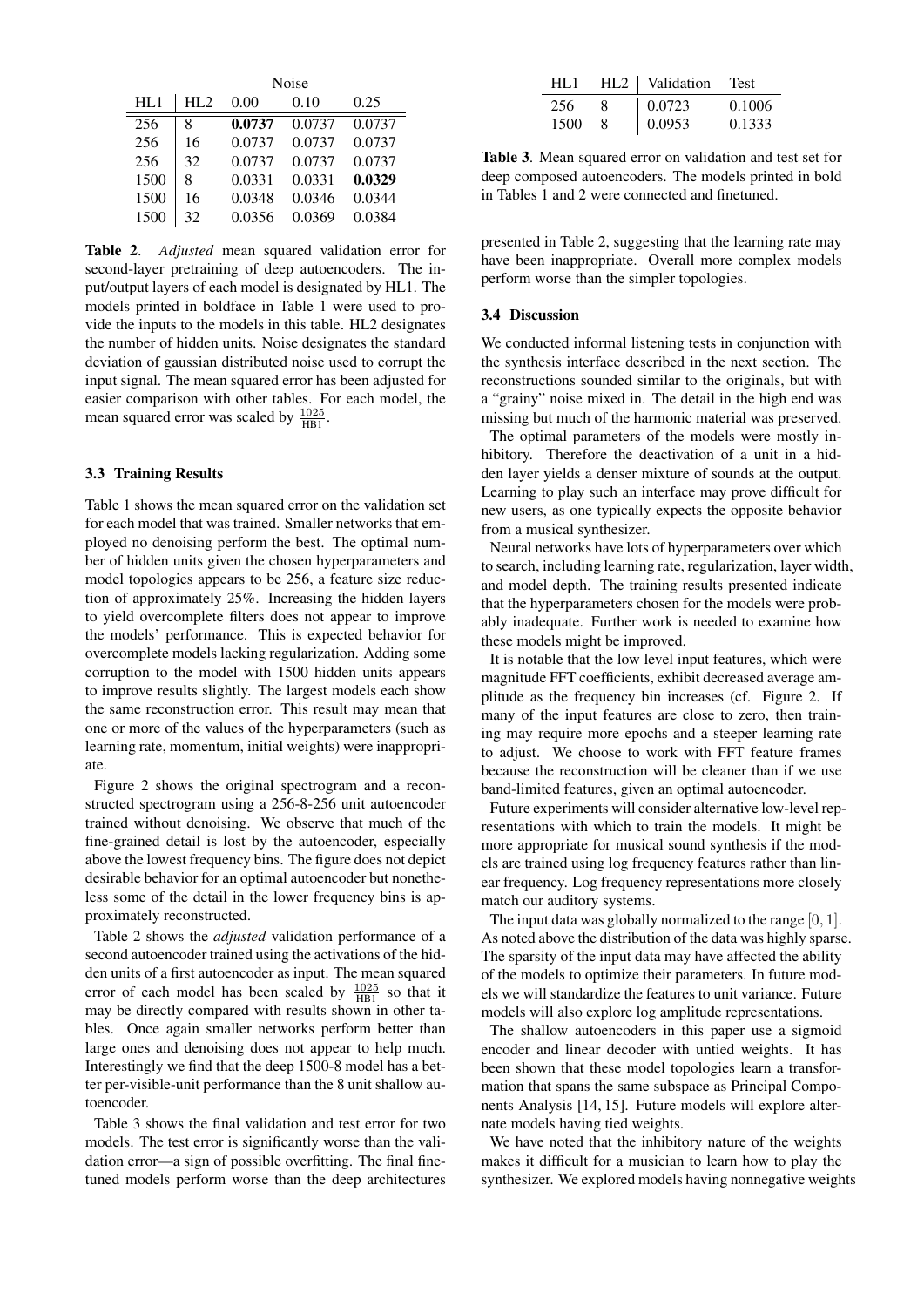<span id="page-3-0"></span>

|      | Noise |        |        |        |  |
|------|-------|--------|--------|--------|--|
| HI.1 | HI.2  | 0.00   | 0.10   | 0.25   |  |
| 256  | 8     | 0.0737 | 0.0737 | 0.0737 |  |
| 256  | 16    | 0.0737 | 0.0737 | 0.0737 |  |
| 256  | 32    | 0.0737 | 0.0737 | 0.0737 |  |
| 1500 | 8     | 0.0331 | 0.0331 | 0.0329 |  |
| 1500 | 16    | 0.0348 | 0.0346 | 0.0344 |  |
| 1500 | 32    | 0.0356 | 0.0369 | 0.0384 |  |

Table 2. *Adjusted* mean squared validation error for second-layer pretraining of deep autoencoders. The input/output layers of each model is designated by HL1. The models printed in boldface in Table [1](#page-2-0) were used to provide the inputs to the models in this table. HL2 designates the number of hidden units. Noise designates the standard deviation of gaussian distributed noise used to corrupt the input signal. The mean squared error has been adjusted for easier comparison with other tables. For each model, the mean squared error was scaled by  $\frac{1025}{HB1}$ .

#### 3.3 Training Results

Table [1](#page-2-0) shows the mean squared error on the validation set for each model that was trained. Smaller networks that employed no denoising perform the best. The optimal number of hidden units given the chosen hyperparameters and model topologies appears to be 256, a feature size reduction of approximately 25%. Increasing the hidden layers to yield overcomplete filters does not appear to improve the models' performance. This is expected behavior for overcomplete models lacking regularization. Adding some corruption to the model with 1500 hidden units appears to improve results slightly. The largest models each show the same reconstruction error. This result may mean that one or more of the values of the hyperparameters (such as learning rate, momentum, initial weights) were inappropriate.

Figure [2](#page-2-1) shows the original spectrogram and a reconstructed spectrogram using a 256-8-256 unit autoencoder trained without denoising. We observe that much of the fine-grained detail is lost by the autoencoder, especially above the lowest frequency bins. The figure does not depict desirable behavior for an optimal autoencoder but nonetheless some of the detail in the lower frequency bins is approximately reconstructed.

Table [2](#page-3-0) shows the *adjusted* validation performance of a second autoencoder trained using the activations of the hidden units of a first autoencoder as input. The mean squared error of each model has been scaled by  $\frac{1025}{HB1}$  so that it may be directly compared with results shown in other tables. Once again smaller networks perform better than large ones and denoising does not appear to help much. Interestingly we find that the deep 1500-8 model has a better per-visible-unit performance than the 8 unit shallow autoencoder.

Table [3](#page-3-1) shows the final validation and test error for two models. The test error is significantly worse than the validation error—a sign of possible overfitting. The final finetuned models perform worse than the deep architectures

<span id="page-3-1"></span>

| HI .1 | $HL2$   Validation | - Test |
|-------|--------------------|--------|
| 256   | 0.0723             | 0.1006 |
| 1500  | 0.0953             | 0.1333 |

Table 3. Mean squared error on validation and test set for deep composed autoencoders. The models printed in bold in Tables [1](#page-2-0) and [2](#page-3-0) were connected and finetuned.

presented in Table [2,](#page-3-0) suggesting that the learning rate may have been inappropriate. Overall more complex models perform worse than the simpler topologies.

#### 3.4 Discussion

We conducted informal listening tests in conjunction with the synthesis interface described in the next section. The reconstructions sounded similar to the originals, but with a "grainy" noise mixed in. The detail in the high end was missing but much of the harmonic material was preserved.

The optimal parameters of the models were mostly inhibitory. Therefore the deactivation of a unit in a hidden layer yields a denser mixture of sounds at the output. Learning to play such an interface may prove difficult for new users, as one typically expects the opposite behavior from a musical synthesizer.

Neural networks have lots of hyperparameters over which to search, including learning rate, regularization, layer width, and model depth. The training results presented indicate that the hyperparameters chosen for the models were probably inadequate. Further work is needed to examine how these models might be improved.

It is notable that the low level input features, which were magnitude FFT coefficients, exhibit decreased average amplitude as the frequency bin increases (cf. Figure [2.](#page-2-1) If many of the input features are close to zero, then training may require more epochs and a steeper learning rate to adjust. We choose to work with FFT feature frames because the reconstruction will be cleaner than if we use band-limited features, given an optimal autoencoder.

Future experiments will consider alternative low-level representations with which to train the models. It might be more appropriate for musical sound synthesis if the models are trained using log frequency features rather than linear frequency. Log frequency representations more closely match our auditory systems.

The input data was globally normalized to the range [0, 1]. As noted above the distribution of the data was highly sparse. The sparsity of the input data may have affected the ability of the models to optimize their parameters. In future models we will standardize the features to unit variance. Future models will also explore log amplitude representations.

The shallow autoencoders in this paper use a sigmoid encoder and linear decoder with untied weights. It has been shown that these model topologies learn a transformation that spans the same subspace as Principal Components Analysis [\[14,](#page-5-10) [15\]](#page-6-0). Future models will explore alternate models having tied weights.

We have noted that the inhibitory nature of the weights makes it difficult for a musician to learn how to play the synthesizer. We explored models having nonnegative weights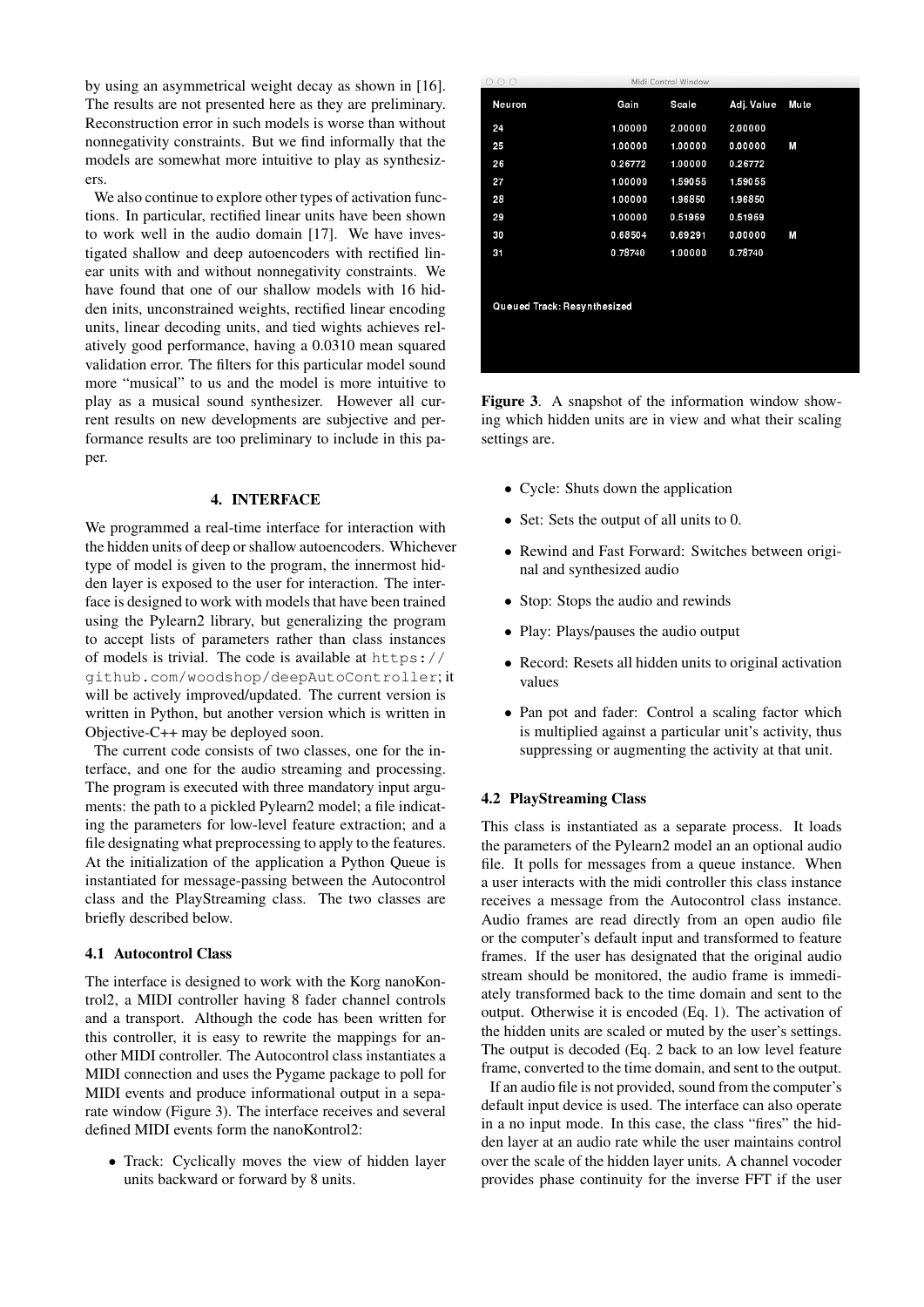by using an asymmetrical weight decay as shown in [\[16\]](#page-6-1). The results are not presented here as they are preliminary. Reconstruction error in such models is worse than without nonnegativity constraints. But we find informally that the models are somewhat more intuitive to play as synthesizers.

We also continue to explore other types of activation functions. In particular, rectified linear units have been shown to work well in the audio domain [\[17\]](#page-6-2). We have investigated shallow and deep autoencoders with rectified linear units with and without nonnegativity constraints. We have found that one of our shallow models with 16 hidden inits, unconstrained weights, rectified linear encoding units, linear decoding units, and tied wights achieves relatively good performance, having a 0.0310 mean squared validation error. The filters for this particular model sound more "musical" to us and the model is more intuitive to play as a musical sound synthesizer. However all current results on new developments are subjective and performance results are too preliminary to include in this paper.

#### 4. INTERFACE

We programmed a real-time interface for interaction with the hidden units of deep or shallow autoencoders. Whichever type of model is given to the program, the innermost hidden layer is exposed to the user for interaction. The interface is designed to work with models that have been trained using the Pylearn2 library, but generalizing the program to accept lists of parameters rather than class instances of models is trivial. The code is available at [https://](https://github.com/woodshop/deepAutoController) [github.com/woodshop/deepAutoController](https://github.com/woodshop/deepAutoController); it will be actively improved/updated. The current version is written in Python, but another version which is written in Objective-C++ may be deployed soon.

The current code consists of two classes, one for the interface, and one for the audio streaming and processing. The program is executed with three mandatory input arguments: the path to a pickled Pylearn2 model; a file indicating the parameters for low-level feature extraction; and a file designating what preprocessing to apply to the features. At the initialization of the application a Python Queue is instantiated for message-passing between the Autocontrol class and the PlayStreaming class. The two classes are briefly described below.

## 4.1 Autocontrol Class

The interface is designed to work with the Korg nanoKontrol2, a MIDI controller having 8 fader channel controls and a transport. Although the code has been written for this controller, it is easy to rewrite the mappings for another MIDI controller. The Autocontrol class instantiates a MIDI connection and uses the Pygame package to poll for MIDI events and produce informational output in a separate window (Figure [3\)](#page-4-0). The interface receives and several defined MIDI events form the nanoKontrol2:

• Track: Cyclically moves the view of hidden layer units backward or forward by 8 units.

<span id="page-4-0"></span>

| 000                         | Midi Control Window |         |            |             |  |  |  |
|-----------------------------|---------------------|---------|------------|-------------|--|--|--|
| Neuron                      | Gain                | Sca e   | Adj. Value | <b>Mute</b> |  |  |  |
| 24                          | 1.00000             | 2.00000 | 2.00000    |             |  |  |  |
| 25                          | 1.00000             | 1.00000 | 0.00000    | M           |  |  |  |
| 26                          | 026772              | 1.00000 | 0.26772    |             |  |  |  |
| 27                          | 1.00000             | 1.59055 | 1.59055    |             |  |  |  |
| 28                          | 1.00000             | 1.96850 | 1.96850    |             |  |  |  |
| 29                          | 1.00000             | 0.51969 | 0.51969    |             |  |  |  |
| 30                          | 0.68504             | 0.69291 | 0.00000    | M           |  |  |  |
| 31                          | 078740              | 1.00000 | 0.78740    |             |  |  |  |
|                             |                     |         |            |             |  |  |  |
| Queued Track: Resynthesized |                     |         |            |             |  |  |  |
|                             |                     |         |            |             |  |  |  |
|                             |                     |         |            |             |  |  |  |
|                             |                     |         |            |             |  |  |  |

Figure 3. A snapshot of the information window showing which hidden units are in view and what their scaling settings are.

- Cycle: Shuts down the application
- Set: Sets the output of all units to 0.
- Rewind and Fast Forward: Switches between original and synthesized audio
- Stop: Stops the audio and rewinds
- Play: Plays/pauses the audio output
- Record: Resets all hidden units to original activation values
- Pan pot and fader: Control a scaling factor which is multiplied against a particular unit's activity, thus suppressing or augmenting the activity at that unit.

#### 4.2 PlayStreaming Class

This class is instantiated as a separate process. It loads the parameters of the Pylearn2 model an an optional audio file. It polls for messages from a queue instance. When a user interacts with the midi controller this class instance receives a message from the Autocontrol class instance. Audio frames are read directly from an open audio file or the computer's default input and transformed to feature frames. If the user has designated that the original audio stream should be monitored, the audio frame is immediately transformed back to the time domain and sent to the output. Otherwise it is encoded (Eq. [1\)](#page-1-2). The activation of the hidden units are scaled or muted by the user's settings. The output is decoded (Eq. [2](#page-1-3) back to an low level feature frame, converted to the time domain, and sent to the output.

If an audio file is not provided, sound from the computer's default input device is used. The interface can also operate in a no input mode. In this case, the class "fires" the hidden layer at an audio rate while the user maintains control over the scale of the hidden layer units. A channel vocoder provides phase continuity for the inverse FFT if the user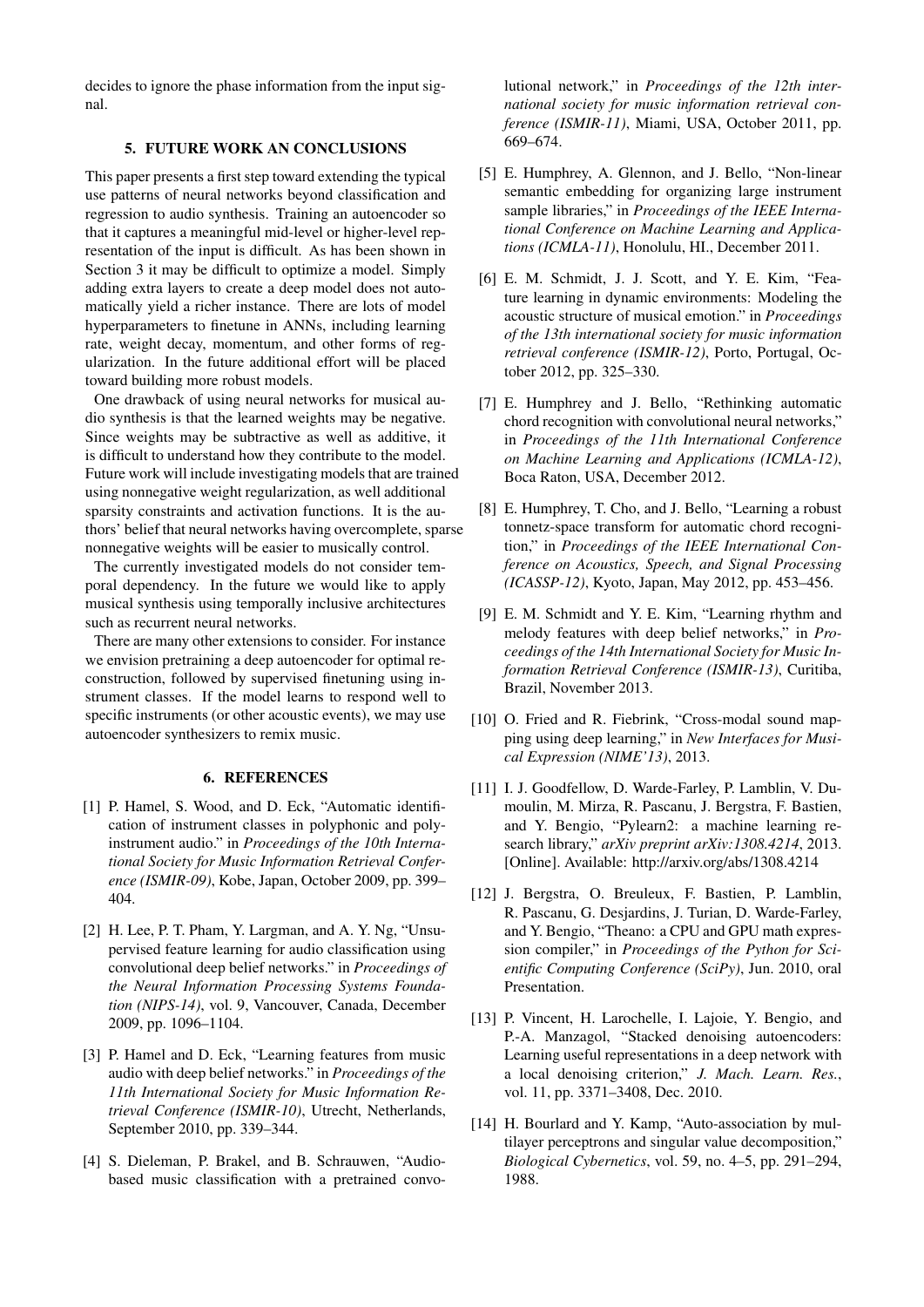decides to ignore the phase information from the input signal.

# 5. FUTURE WORK AN CONCLUSIONS

<span id="page-5-8"></span>This paper presents a first step toward extending the typical use patterns of neural networks beyond classification and regression to audio synthesis. Training an autoencoder so that it captures a meaningful mid-level or higher-level representation of the input is difficult. As has been shown in Section [3](#page-1-0) it may be difficult to optimize a model. Simply adding extra layers to create a deep model does not automatically yield a richer instance. There are lots of model hyperparameters to finetune in ANNs, including learning rate, weight decay, momentum, and other forms of regularization. In the future additional effort will be placed toward building more robust models.

One drawback of using neural networks for musical audio synthesis is that the learned weights may be negative. Since weights may be subtractive as well as additive, it is difficult to understand how they contribute to the model. Future work will include investigating models that are trained using nonnegative weight regularization, as well additional sparsity constraints and activation functions. It is the authors' belief that neural networks having overcomplete, sparse nonnegative weights will be easier to musically control.

The currently investigated models do not consider temporal dependency. In the future we would like to apply musical synthesis using temporally inclusive architectures such as recurrent neural networks.

There are many other extensions to consider. For instance we envision pretraining a deep autoencoder for optimal reconstruction, followed by supervised finetuning using instrument classes. If the model learns to respond well to specific instruments (or other acoustic events), we may use autoencoder synthesizers to remix music.

#### 6. REFERENCES

- <span id="page-5-0"></span>[1] P. Hamel, S. Wood, and D. Eck, "Automatic identification of instrument classes in polyphonic and polyinstrument audio." in *Proceedings of the 10th International Society for Music Information Retrieval Conference (ISMIR-09)*, Kobe, Japan, October 2009, pp. 399– 404.
- <span id="page-5-1"></span>[2] H. Lee, P. T. Pham, Y. Largman, and A. Y. Ng, "Unsupervised feature learning for audio classification using convolutional deep belief networks." in *Proceedings of the Neural Information Processing Systems Foundation (NIPS-14)*, vol. 9, Vancouver, Canada, December 2009, pp. 1096–1104.
- [3] P. Hamel and D. Eck, "Learning features from music audio with deep belief networks." in *Proceedings of the 11th International Society for Music Information Retrieval Conference (ISMIR-10)*, Utrecht, Netherlands, September 2010, pp. 339–344.
- <span id="page-5-2"></span>[4] S. Dieleman, P. Brakel, and B. Schrauwen, "Audiobased music classification with a pretrained convo-

lutional network," in *Proceedings of the 12th international society for music information retrieval conference (ISMIR-11)*, Miami, USA, October 2011, pp. 669–674.

- <span id="page-5-3"></span>[5] E. Humphrey, A. Glennon, and J. Bello, "Non-linear semantic embedding for organizing large instrument sample libraries," in *Proceedings of the IEEE International Conference on Machine Learning and Applications (ICMLA-11)*, Honolulu, HI., December 2011.
- [6] E. M. Schmidt, J. J. Scott, and Y. E. Kim, "Feature learning in dynamic environments: Modeling the acoustic structure of musical emotion." in *Proceedings of the 13th international society for music information retrieval conference (ISMIR-12)*, Porto, Portugal, October 2012, pp. 325–330.
- [7] E. Humphrey and J. Bello, "Rethinking automatic chord recognition with convolutional neural networks," in *Proceedings of the 11th International Conference on Machine Learning and Applications (ICMLA-12)*, Boca Raton, USA, December 2012.
- [8] E. Humphrey, T. Cho, and J. Bello, "Learning a robust" tonnetz-space transform for automatic chord recognition," in *Proceedings of the IEEE International Conference on Acoustics, Speech, and Signal Processing (ICASSP-12)*, Kyoto, Japan, May 2012, pp. 453–456.
- <span id="page-5-4"></span>[9] E. M. Schmidt and Y. E. Kim, "Learning rhythm and melody features with deep belief networks," in *Proceedings of the 14th International Society for Music Information Retrieval Conference (ISMIR-13)*, Curitiba, Brazil, November 2013.
- <span id="page-5-5"></span>[10] O. Fried and R. Fiebrink, "Cross-modal sound mapping using deep learning," in *New Interfaces for Musical Expression (NIME'13)*, 2013.
- <span id="page-5-6"></span>[11] I. J. Goodfellow, D. Warde-Farley, P. Lamblin, V. Dumoulin, M. Mirza, R. Pascanu, J. Bergstra, F. Bastien, and Y. Bengio, "Pylearn2: a machine learning research library," *arXiv preprint arXiv:1308.4214*, 2013. [Online]. Available: <http://arxiv.org/abs/1308.4214>
- <span id="page-5-7"></span>[12] J. Bergstra, O. Breuleux, F. Bastien, P. Lamblin, R. Pascanu, G. Desjardins, J. Turian, D. Warde-Farley, and Y. Bengio, "Theano: a CPU and GPU math expression compiler," in *Proceedings of the Python for Scientific Computing Conference (SciPy)*, Jun. 2010, oral Presentation.
- <span id="page-5-9"></span>[13] P. Vincent, H. Larochelle, I. Lajoie, Y. Bengio, and P.-A. Manzagol, "Stacked denoising autoencoders: Learning useful representations in a deep network with a local denoising criterion," *J. Mach. Learn. Res.*, vol. 11, pp. 3371–3408, Dec. 2010.
- <span id="page-5-10"></span>[14] H. Bourlard and Y. Kamp, "Auto-association by multilayer perceptrons and singular value decomposition," *Biological Cybernetics*, vol. 59, no. 4–5, pp. 291–294, 1988.